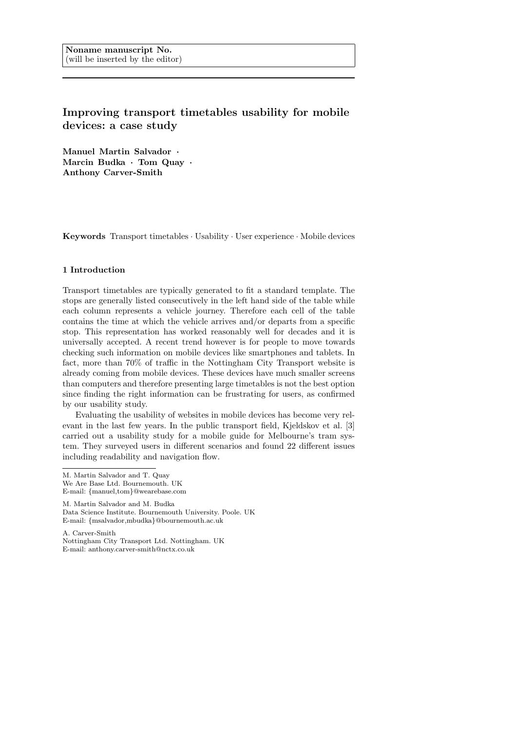# Improving transport timetables usability for mobile devices: a case study

Manuel Martin Salvador · Marcin Budka · Tom Quay · Anthony Carver-Smith

Keywords Transport timetables · Usability · User experience · Mobile devices

# 1 Introduction

Transport timetables are typically generated to fit a standard template. The stops are generally listed consecutively in the left hand side of the table while each column represents a vehicle journey. Therefore each cell of the table contains the time at which the vehicle arrives and/or departs from a specific stop. This representation has worked reasonably well for decades and it is universally accepted. A recent trend however is for people to move towards checking such information on mobile devices like smartphones and tablets. In fact, more than 70% of traffic in the Nottingham City Transport website is already coming from mobile devices. These devices have much smaller screens than computers and therefore presenting large timetables is not the best option since finding the right information can be frustrating for users, as confirmed by our usability study.

Evaluating the usability of websites in mobile devices has become very relevant in the last few years. In the public transport field, Kjeldskov et al. [3] carried out a usability study for a mobile guide for Melbourne's tram system. They surveyed users in different scenarios and found 22 different issues including readability and navigation flow.

M. Martin Salvador and M. Budka Data Science Institute. Bournemouth University. Poole. UK E-mail: {msalvador,mbudka}@bournemouth.ac.uk

A. Carver-Smith Nottingham City Transport Ltd. Nottingham. UK E-mail: anthony.carver-smith@nctx.co.uk

M. Martin Salvador and T. Quay

We Are Base Ltd. Bournemouth. UK E-mail: {manuel,tom}@wearebase.com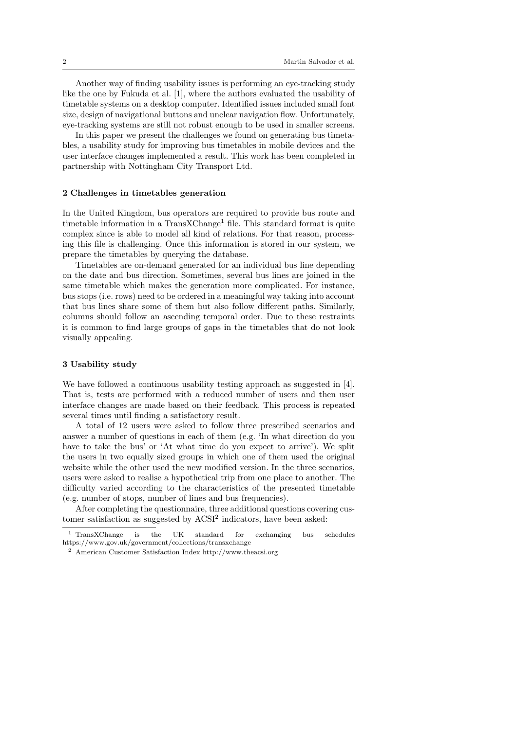Another way of finding usability issues is performing an eye-tracking study like the one by Fukuda et al. [1], where the authors evaluated the usability of timetable systems on a desktop computer. Identified issues included small font size, design of navigational buttons and unclear navigation flow. Unfortunately, eye-tracking systems are still not robust enough to be used in smaller screens.

In this paper we present the challenges we found on generating bus timetables, a usability study for improving bus timetables in mobile devices and the user interface changes implemented a result. This work has been completed in partnership with Nottingham City Transport Ltd.

## 2 Challenges in timetables generation

In the United Kingdom, bus operators are required to provide bus route and timetable information in a  $TransXChange<sup>1</sup>$  file. This standard format is quite complex since is able to model all kind of relations. For that reason, processing this file is challenging. Once this information is stored in our system, we prepare the timetables by querying the database.

Timetables are on-demand generated for an individual bus line depending on the date and bus direction. Sometimes, several bus lines are joined in the same timetable which makes the generation more complicated. For instance, bus stops (i.e. rows) need to be ordered in a meaningful way taking into account that bus lines share some of them but also follow different paths. Similarly, columns should follow an ascending temporal order. Due to these restraints it is common to find large groups of gaps in the timetables that do not look visually appealing.

## 3 Usability study

We have followed a continuous usability testing approach as suggested in [4]. That is, tests are performed with a reduced number of users and then user interface changes are made based on their feedback. This process is repeated several times until finding a satisfactory result.

A total of 12 users were asked to follow three prescribed scenarios and answer a number of questions in each of them (e.g. 'In what direction do you have to take the bus' or 'At what time do you expect to arrive'). We split the users in two equally sized groups in which one of them used the original website while the other used the new modified version. In the three scenarios, users were asked to realise a hypothetical trip from one place to another. The difficulty varied according to the characteristics of the presented timetable (e.g. number of stops, number of lines and bus frequencies).

After completing the questionnaire, three additional questions covering customer satisfaction as suggested by  $ACSI<sup>2</sup>$  indicators, have been asked:

<sup>1</sup> TransXChange is the UK standard for exchanging bus schedules https://www.gov.uk/government/collections/transxchange

<sup>2</sup> American Customer Satisfaction Index http://www.theacsi.org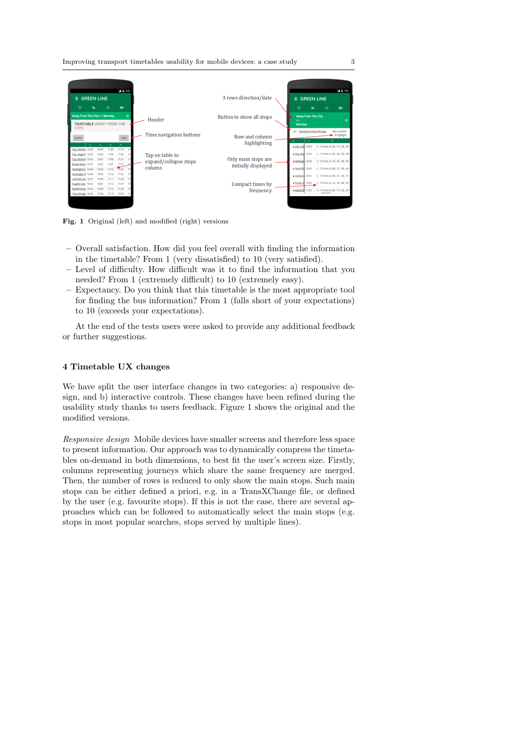

Fig. 1 Original (left) and modified (right) versions

- Overall satisfaction. How did you feel overall with finding the information in the timetable? From 1 (very dissatisfied) to 10 (very satisfied).
- Level of difficulty. How difficult was it to find the information that you needed? From 1 (extremely difficult) to 10 (extremely easy).
- Expectancy. Do you think that this timetable is the most appropriate tool for finding the bus information? From 1 (falls short of your expectations) to 10 (exceeds your expectations).

At the end of the tests users were asked to provide any additional feedback or further suggestions.

# 4 Timetable UX changes

We have split the user interface changes in two categories: a) responsive design, and b) interactive controls. These changes have been refined during the usability study thanks to users feedback. Figure 1 shows the original and the modified versions.

Responsive design Mobile devices have smaller screens and therefore less space to present information. Our approach was to dynamically compress the timetables on-demand in both dimensions, to best fit the user's screen size. Firstly, columns representing journeys which share the same frequency are merged. Then, the number of rows is reduced to only show the main stops. Such main stops can be either defined a priori, e.g. in a TransXChange file, or defined by the user (e.g. favourite stops). If this is not the case, there are several approaches which can be followed to automatically select the main stops (e.g. stops in most popular searches, stops served by multiple lines).